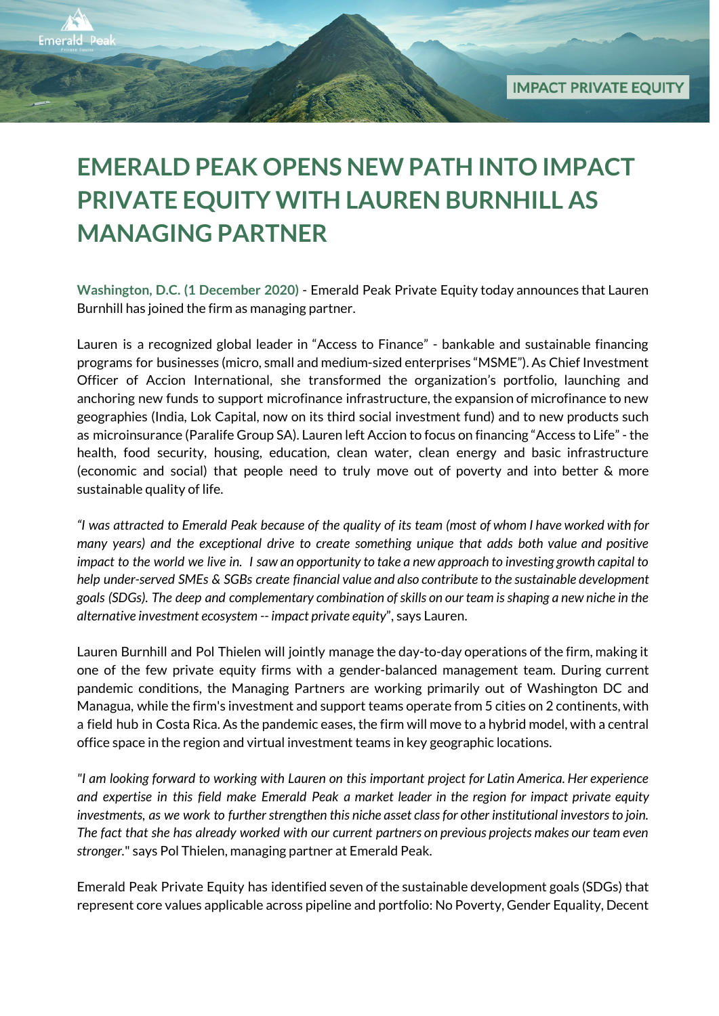## **EMERALD PEAK OPENS NEW PATH INTO IMPACT PRIVATE EQUITY WITH LAUREN BURNHILL AS MANAGING PARTNER**

**Emerald Peak** 

**Washington, D.C. (1 December 2020)** - Emerald Peak Private Equity today announces that Lauren Burnhill has joined the firm as managing partner.

Lauren is a recognized global leader in "Access to Finance" - bankable and sustainable financing programs for businesses (micro, small and medium-sized enterprises "MSME"). As Chief Investment Officer of Accion International, she transformed the organization's portfolio, launching and anchoring new funds to support microfinance infrastructure, the expansion of microfinance to new geographies (India, Lok Capital, now on its third social investment fund) and to new products such as microinsurance (Paralife Group SA). Lauren left Accion to focus on financing "Access to Life" - the health, food security, housing, education, clean water, clean energy and basic infrastructure (economic and social) that people need to truly move out of poverty and into better & more sustainable quality of life.

"I was attracted to Emerald Peak because of the quality of its team (most of whom I have worked with for *many years) and the exceptional drive to create something unique that adds both value and positive* impact to the world we live in. I saw an opportunity to take a new approach to investing growth capital to *help under-served SMEs & SGBs create financial value and also contribute to the sustainable development goals (SDGs). The deep and complementary combination ofskills on our team isshaping a new niche in the alternative investment ecosystem -- impact private equity*", says Lauren.

Lauren Burnhill and Pol Thielen will jointly manage the day-to-day operations of the firm, making it one of the few private equity firms with a gender-balanced management team. During current pandemic conditions, the Managing Partners are working primarily out of Washington DC and Managua, while the firm's investment and support teams operate from 5 cities on 2 continents, with a field hub in Costa Rica. As the pandemic eases, the firm will move to a hybrid model, with a central office space in the region and virtual investment teams in key geographic locations.

*"I am looking forward to working with Lauren on this important project for Latin America. Her experience* and expertise in this field make Emerald Peak a market leader in the region for impact private equity *investments, as we work to furtherstrengthen this niche asset classfor other institutional investorsto join.* The fact that she has already worked with our current partners on previous projects makes our team even *stronger.*" says Pol Thielen, managing partner at Emerald Peak.

Emerald Peak Private Equity has identified seven of the sustainable development goals (SDGs) that represent core values applicable across pipeline and portfolio: No Poverty, Gender Equality, Decent